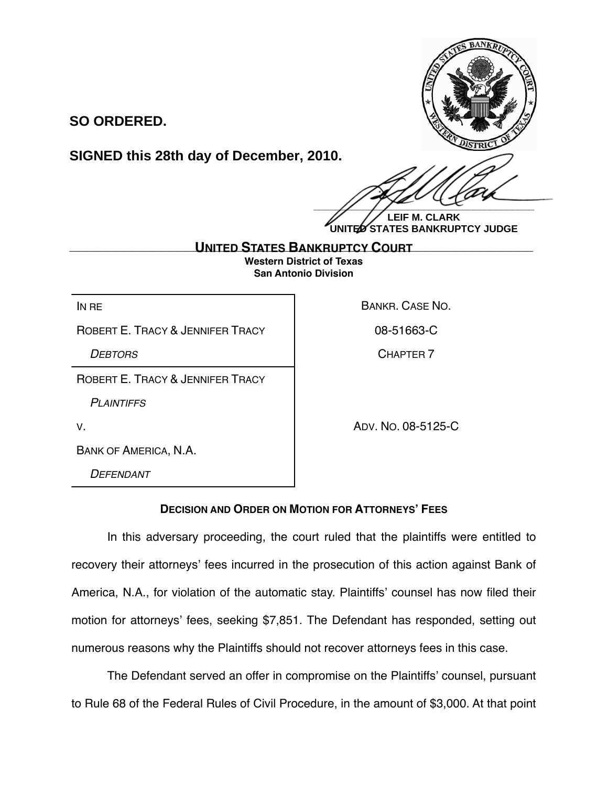

**SO ORDERED.**

## **SIGNED this 28th day of December, 2010.**

 $\frac{1}{2}$ 

**LEIF M. CLARK UNITED STATES BANKRUPTCY JUDGE**

**UNITED STATES BANKRUPTCY COURT \_\_\_\_\_\_\_\_\_\_\_\_\_\_\_\_\_\_\_\_\_\_\_\_\_\_\_\_\_\_\_\_\_\_\_\_\_\_\_\_\_\_\_\_\_\_\_\_\_\_\_\_\_\_\_\_\_\_\_\_Western District of Texas San Antonio Division**

ROBERT F. TRACY & JENNIFER TRACY | 08-51663-C

ROBERT E. TRACY & JENNIFER TRACY

*PLAINTIFFS*

IN RE BANKR. CASE NO.

*DEBTORS* CHAPTER 7

V. ADV. NO. 08-5125-C

BANK OF AMERICA, N.A.

*DEFENDANT*

## **DECISION AND ORDER ON MOTION FOR ATTORNEYS' FEES**

In this adversary proceeding, the court ruled that the plaintiffs were entitled to recovery their attorneys' fees incurred in the prosecution of this action against Bank of America, N.A., for violation of the automatic stay. Plaintiffs' counsel has now filed their motion for attorneys' fees, seeking \$7,851. The Defendant has responded, setting out numerous reasons why the Plaintiffs should not recover attorneys fees in this case.

The Defendant served an offer in compromise on the Plaintiffs' counsel, pursuant to Rule 68 of the Federal Rules of Civil Procedure, in the amount of \$3,000. At that point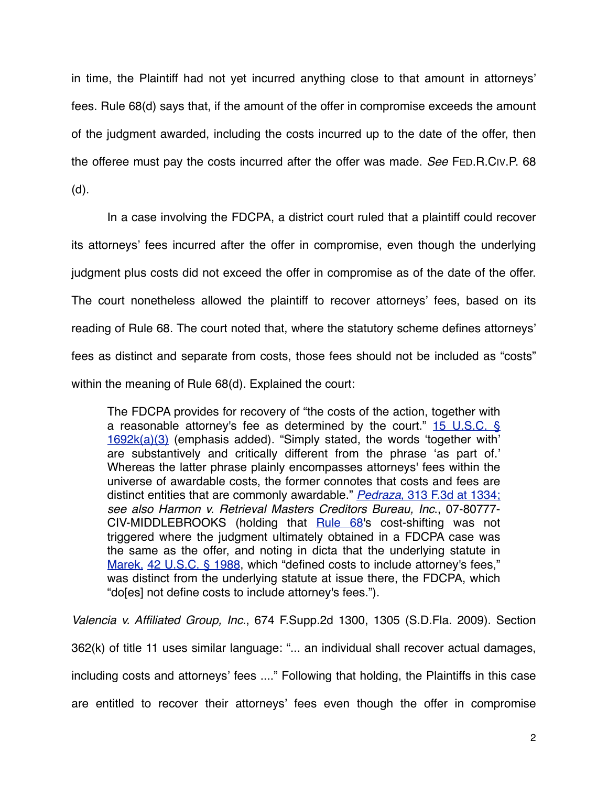in time, the Plaintiff had not yet incurred anything close to that amount in attorneys' fees. Rule 68(d) says that, if the amount of the offer in compromise exceeds the amount of the judgment awarded, including the costs incurred up to the date of the offer, then the offeree must pay the costs incurred after the offer was made. *See* FED.R.CIV.P. 68 (d).

In a case involving the FDCPA, a district court ruled that a plaintiff could recover its attorneys' fees incurred after the offer in compromise, even though the underlying judgment plus costs did not exceed the offer in compromise as of the date of the offer. The court nonetheless allowed the plaintiff to recover attorneys' fees, based on its reading of Rule 68. The court noted that, where the statutory scheme defines attorneys' fees as distinct and separate from costs, those fees should not be included as "costs" within the meaning of Rule 68(d). Explained the court:

The FDCPA provides for recovery of "the costs of the action, together with a reasonable attorney's fee as determined by the court."  $15 \text{ U.S.C. }$  § [1692k\(a\)\(3\)](http://web2.westlaw.com/find/default.wl?tf=-1&rs=WLW10.10&referencepositiontype=T&referenceposition=SP%3b28cc0000ccca6&fn=_top&sv=Split&docname=15USCAS1692K&tc=-1&pbc=0006F4F0&ordoc=2020778369&findtype=L&db=1000546&vr=2.0&rp=%2ffind%2fdefault.wl&mt=Westlaw) (emphasis added). "Simply stated, the words ʻtogether with' are substantively and critically different from the phrase ʻas part of.' Whereas the latter phrase plainly encompasses attorneys' fees within the universe of awardable costs, the former connotes that costs and fees are distinct entities that are commonly awardable." *Pedraza*[, 313 F.3d at 1334;](http://web2.westlaw.com/find/default.wl?tf=-1&rs=WLW10.10&referencepositiontype=S&serialnum=2002764237&fn=_top&sv=Split&referenceposition=1334&pbc=0006F4F0&tc=-1&ordoc=2020778369&findtype=Y&db=506&vr=2.0&rp=%2ffind%2fdefault.wl&mt=Westlaw) *see also Harmon v. Retrieval Masters Creditors Bureau, Inc*., 07-80777- CIV-MIDDLEBROOKS (holding that [Rule 68](http://web2.westlaw.com/find/default.wl?tf=-1&rs=WLW10.10&fn=_top&sv=Split&docname=USFRCPR68&tc=-1&pbc=0006F4F0&ordoc=2020778369&findtype=L&db=1004365&vr=2.0&rp=%2ffind%2fdefault.wl&mt=Westlaw)'s cost-shifting was not triggered where the judgment ultimately obtained in a FDCPA case was the same as the offer, and noting in dicta that the underlying statute in [Marek,](http://web2.westlaw.com/find/default.wl?tf=-1&rs=WLW10.10&serialnum=1985132612&fn=_top&sv=Split&tc=-1&pbc=0006F4F0&ordoc=2020778369&findtype=Y&vr=2.0&rp=%2ffind%2fdefault.wl&mt=Westlaw) [42 U.S.C. § 1988](http://web2.westlaw.com/find/default.wl?tf=-1&rs=WLW10.10&fn=_top&sv=Split&docname=42USCAS1988&tc=-1&pbc=0006F4F0&ordoc=2020778369&findtype=L&db=1000546&vr=2.0&rp=%2ffind%2fdefault.wl&mt=Westlaw), which "defined costs to include attorney's fees," was distinct from the underlying statute at issue there, the FDCPA, which "do[es] not define costs to include attorney's fees.").

*Valencia v. Affiliated Group, Inc.*, 674 F.Supp.2d 1300, 1305 (S.D.Fla. 2009). Section 362(k) of title 11 uses similar language: "... an individual shall recover actual damages, including costs and attorneys' fees ...." Following that holding, the Plaintiffs in this case are entitled to recover their attorneys' fees even though the offer in compromise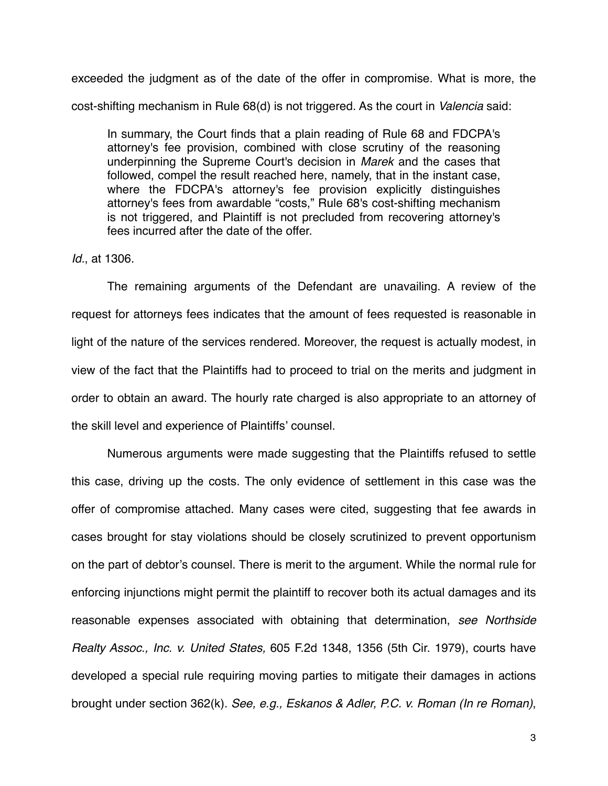exceeded the judgment as of the date of the offer in compromise. What is more, the cost-shifting mechanism in Rule 68(d) is not triggered. As the court in *Valencia* said:

In summary, the Court finds that a plain reading of [Rule 68](http://web2.westlaw.com/find/default.wl?tf=-1&rs=WLW10.10&fn=_top&sv=Split&docname=USFRCPR68&tc=-1&pbc=0006F4F0&ordoc=2020778369&findtype=L&db=1004365&vr=2.0&rp=%2ffind%2fdefault.wl&mt=Westlaw) and FDCPA's attorney's fee provision, combined with close scrutiny of the reasoning underpinning the Supreme Court's decision in *[Marek](http://web2.westlaw.com/find/default.wl?tf=-1&rs=WLW10.10&serialnum=1985132612&fn=_top&sv=Split&tc=-1&pbc=0006F4F0&ordoc=2020778369&findtype=Y&vr=2.0&rp=%2ffind%2fdefault.wl&mt=Westlaw)* and the cases that followed, compel the result reached here, namely, that in the instant case, where the FDCPA's attorney's fee provision explicitly distinguishes attorney's fees from awardable "costs," [Rule 68](http://web2.westlaw.com/find/default.wl?tf=-1&rs=WLW10.10&fn=_top&sv=Split&docname=USFRCPR68&tc=-1&pbc=0006F4F0&ordoc=2020778369&findtype=L&db=1004365&vr=2.0&rp=%2ffind%2fdefault.wl&mt=Westlaw)'s cost-shifting mechanism is not triggered, and Plaintiff is not precluded from recovering attorney's fees incurred after the date of the offer.

## *Id.*, at 1306.

The remaining arguments of the Defendant are unavailing. A review of the request for attorneys fees indicates that the amount of fees requested is reasonable in light of the nature of the services rendered. Moreover, the request is actually modest, in view of the fact that the Plaintiffs had to proceed to trial on the merits and judgment in order to obtain an award. The hourly rate charged is also appropriate to an attorney of the skill level and experience of Plaintiffs' counsel.

Numerous arguments were made suggesting that the Plaintiffs refused to settle this case, driving up the costs. The only evidence of settlement in this case was the offer of compromise attached. Many cases were cited, suggesting that fee awards in cases brought for stay violations should be closely scrutinized to prevent opportunism on the part of debtor's counsel. There is merit to the argument. While the normal rule for enforcing injunctions might permit the plaintiff to recover both its actual damages and its reasonable expenses associated with obtaining that determination, *see Northside Realty Assoc., Inc. v. United States,* 605 F.2d 1348, 1356 (5th Cir. 1979), courts have developed a special rule requiring moving parties to mitigate their damages in actions brought under section 362(k). *See, e.g., Eskanos & Adler, P.C. v. Roman (In re Roman)*,